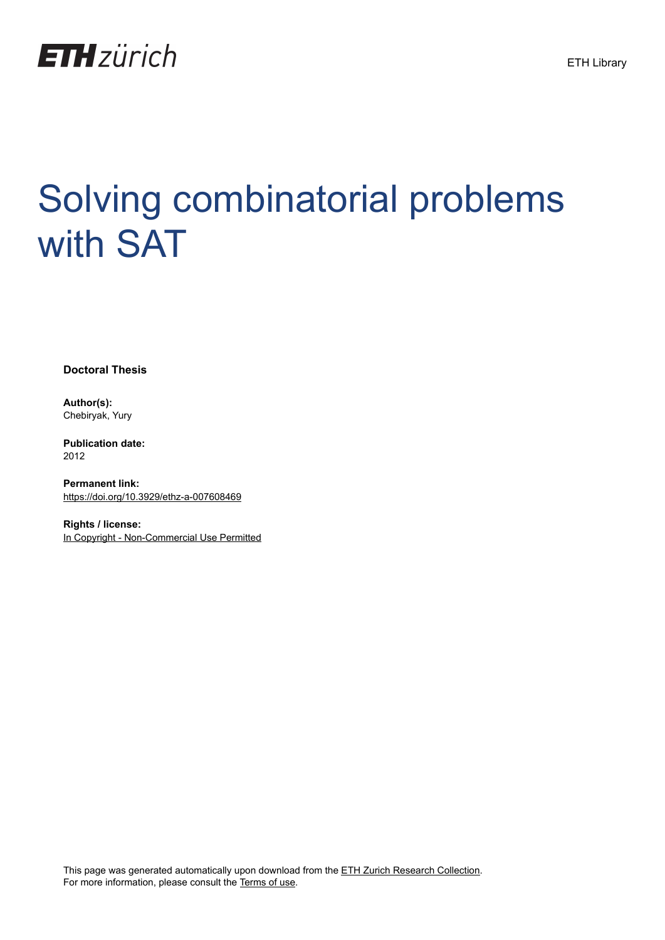

# Solving combinatorial problems with SAT

**Doctoral Thesis**

**Author(s):** Chebiryak, Yury

**Publication date:** 2012

**Permanent link:** <https://doi.org/10.3929/ethz-a-007608469>

**Rights / license:** [In Copyright - Non-Commercial Use Permitted](http://rightsstatements.org/page/InC-NC/1.0/)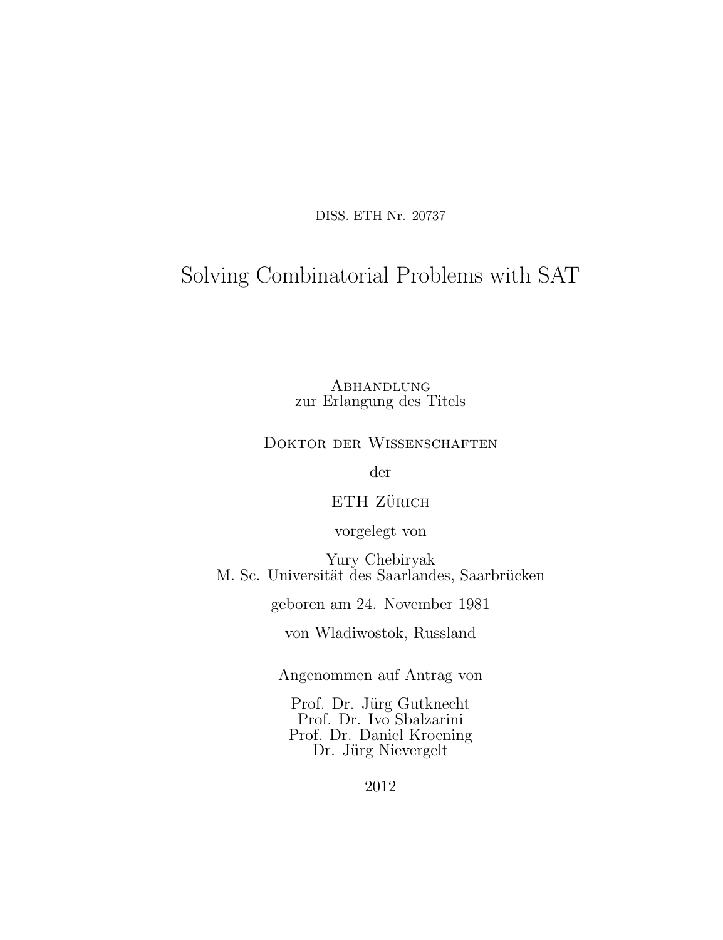DISS. ETH Nr. 20737

# Solving Combinatorial Problems with SAT

**ABHANDLUNG** zur Erlangung des Titels

#### DOKTOR DER WISSENSCHAFTEN

der

ETH ZÜRICH

vorgelegt von

Yury Chebiryak M. Sc. Universität des Saarlandes, Saarbrücken

geboren am 24. November 1981

von Wladiwostok, Russland

Angenommen auf Antrag von

Prof. Dr. Jürg Gutknecht Prof. Dr. Ivo Sbalzarini Prof. Dr. Daniel Kroening Dr. Jürg Nievergelt

2012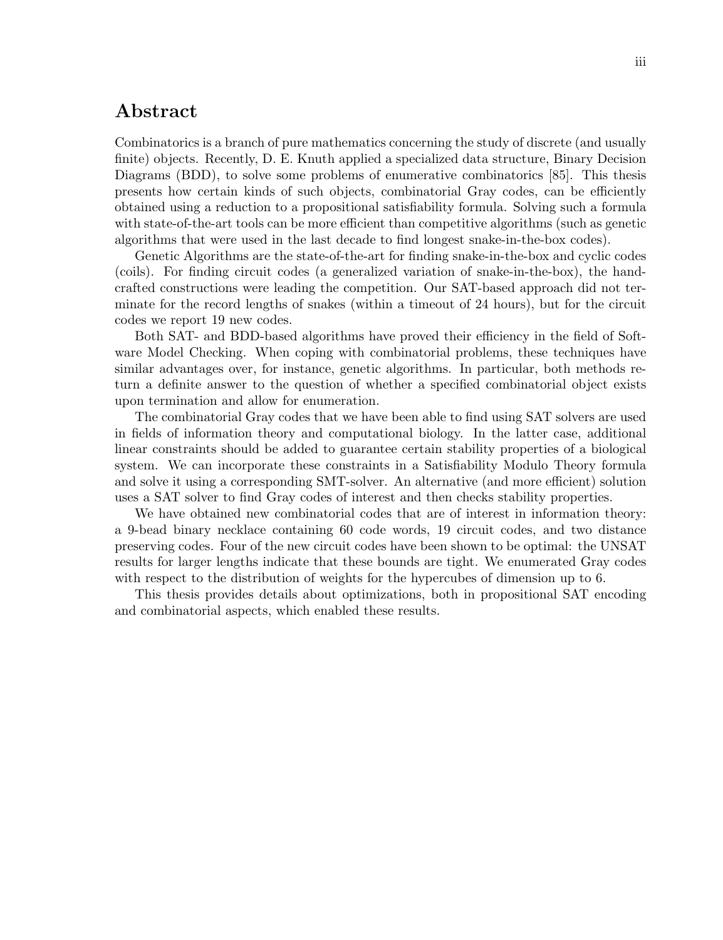### Abstract

Combinatorics is a branch of pure mathematics concerning the study of discrete (and usually finite) objects. Recently, D. E. Knuth applied a specialized data structure, Binary Decision Diagrams (BDD), to solve some problems of enumerative combinatorics [85]. This thesis presents how certain kinds of such objects, combinatorial Gray codes, can be efficiently obtained using a reduction to a propositional satisfiability formula. Solving such a formula with state-of-the-art tools can be more efficient than competitive algorithms (such as genetic algorithms that were used in the last decade to find longest snake-in-the-box codes).

Genetic Algorithms are the state-of-the-art for finding snake-in-the-box and cyclic codes (coils). For finding circuit codes (a generalized variation of snake-in-the-box), the handcrafted constructions were leading the competition. Our SAT-based approach did not terminate for the record lengths of snakes (within a timeout of 24 hours), but for the circuit codes we report 19 new codes.

Both SAT- and BDD-based algorithms have proved their efficiency in the field of Software Model Checking. When coping with combinatorial problems, these techniques have similar advantages over, for instance, genetic algorithms. In particular, both methods return a definite answer to the question of whether a specified combinatorial object exists upon termination and allow for enumeration.

The combinatorial Gray codes that we have been able to find using SAT solvers are used in fields of information theory and computational biology. In the latter case, additional linear constraints should be added to guarantee certain stability properties of a biological system. We can incorporate these constraints in a Satisfiability Modulo Theory formula and solve it using a corresponding SMT-solver. An alternative (and more efficient) solution uses a SAT solver to find Gray codes of interest and then checks stability properties.

We have obtained new combinatorial codes that are of interest in information theory: a 9-bead binary necklace containing 60 code words, 19 circuit codes, and two distance preserving codes. Four of the new circuit codes have been shown to be optimal: the UNSAT results for larger lengths indicate that these bounds are tight. We enumerated Gray codes with respect to the distribution of weights for the hypercubes of dimension up to 6.

This thesis provides details about optimizations, both in propositional SAT encoding and combinatorial aspects, which enabled these results.